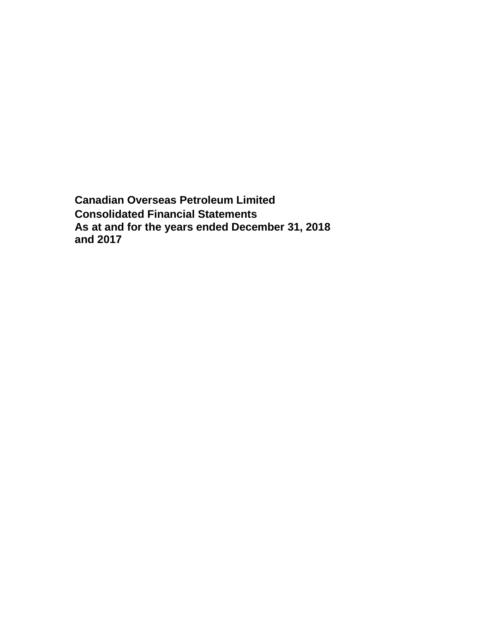**Canadian Overseas Petroleum Limited Consolidated Financial Statements As at and for the years ended December 31, 2018 and 2017**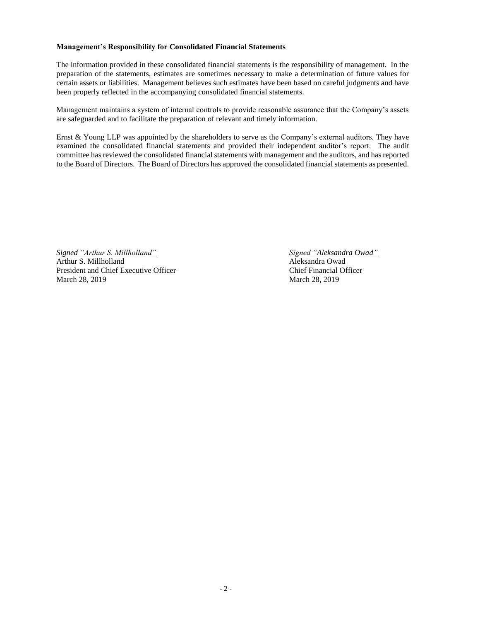### **Management's Responsibility for Consolidated Financial Statements**

The information provided in these consolidated financial statements is the responsibility of management. In the preparation of the statements, estimates are sometimes necessary to make a determination of future values for certain assets or liabilities. Management believes such estimates have been based on careful judgments and have been properly reflected in the accompanying consolidated financial statements.

Management maintains a system of internal controls to provide reasonable assurance that the Company's assets are safeguarded and to facilitate the preparation of relevant and timely information.

Ernst & Young LLP was appointed by the shareholders to serve as the Company's external auditors. They have examined the consolidated financial statements and provided their independent auditor's report. The audit committee has reviewed the consolidated financial statements with management and the auditors, and has reported to the Board of Directors. The Board of Directors has approved the consolidated financial statements as presented.

*Signed "Arthur S. Millholland" Signed "Aleksandra Owad"* Arthur S. Millholland Aleksandra Owad President and Chief Executive Officer Chief Financial Officer March 28, 2019 March 28, 2019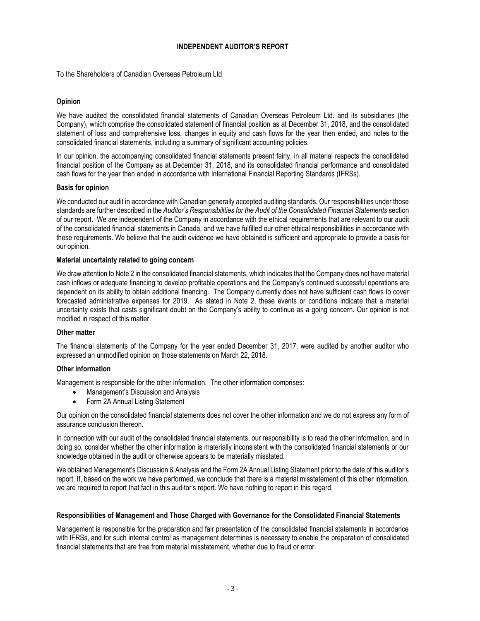### **INDEPENDENT AUDITOR'S REPORT**

To the Shareholders of Canadian Overseas Petroleum Ltd.

### **Opinion**

We have audited the consolidated financial statements of Canadian Overseas Petroleum Ltd. and its subsidiaries (the Company), which comprise the consolidated statement of financial position as at December 31, 2018, and the consolidated statement of loss and comprehensive loss, changes in equity and cash flows for the year then ended, and notes to the consolidated financial statements, including a summary of significant accounting policies.

In our opinion, the accompanying consolidated financial statements present fairly, in all material respects the consolidated financial position of the Company as at December 31, 2018, and its consolidated financial performance and consolidated cash flows for the year then ended in accordance with International Financial Reporting Standards (IFRSs).

#### **Basis for opinion**

We conducted our audit in accordance with Canadian generally accepted auditing standards. Our responsibilities under those standards are further described in the *Auditor's Responsibilities for the Audit of the Consolidated Financial Statements* section of our report. We are independent of the Company in accordance with the ethical requirements that are relevant to our audit of the consolidated financial statements in Canada, and we have fulfilled our other ethical responsibilities in accordance with these requirements. We believe that the audit evidence we have obtained is sufficient and appropriate to provide a basis for our opinion.

#### **Material uncertainty related to going concern**

We draw attention to Note 2 in the consolidated financial statements, which indicates that the Company does not have material cash inflows or adequate financing to develop profitable operations and the Company's continued successful operations are dependent on its ability to obtain additional financing. The Company currently does not have sufficient cash flows to cover forecasted administrative expenses for 2019. As stated in Note 2, these events or conditions indicate that a material uncertainty exists that casts significant doubt on the Company's ability to continue as a going concern. Our opinion is not modified in respect of this matter.

#### **Other matter**

The financial statements of the Company for the year ended December 31, 2017, were audited by another auditor who expressed an unmodified opinion on those statements on March 22, 2018.

#### **Other information**

Management is responsible for the other information. The other information comprises:

- Management's Discussion and Analysis
- Form 2A Annual Listing Statement

Our opinion on the consolidated financial statements does not cover the other information and we do not express any form of assurance conclusion thereon.

In connection with our audit of the consolidated financial statements, our responsibility is to read the other information, and in doing so, consider whether the other information is materially inconsistent with the consolidated financial statements or our knowledge obtained in the audit or otherwise appears to be materially misstated.

We obtained Management's Discussion & Analysis and the Form 2A Annual Listing Statement prior to the date of this auditor's report. If, based on the work we have performed, we conclude that there is a material misstatement of this other information, we are required to report that fact in this auditor's report. We have nothing to report in this regard.

#### **Responsibilities of Management and Those Charged with Governance for the Consolidated Financial Statements**

Management is responsible for the preparation and fair presentation of the consolidated financial statements in accordance with IFRSs, and for such internal control as management determines is necessary to enable the preparation of consolidated financial statements that are free from material misstatement, whether due to fraud or error.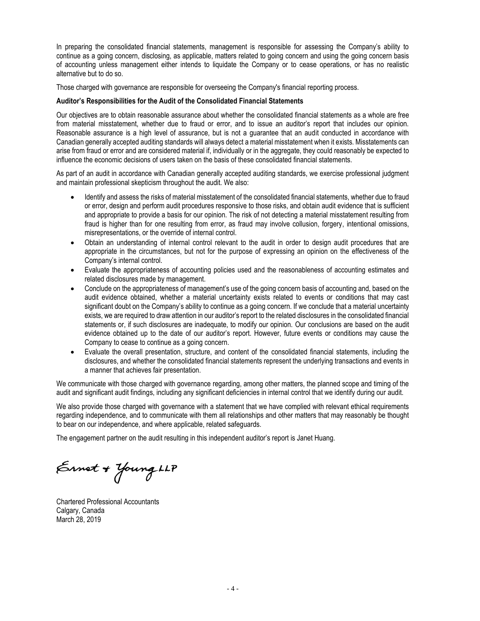In preparing the consolidated financial statements, management is responsible for assessing the Company's ability to continue as a going concern, disclosing, as applicable, matters related to going concern and using the going concern basis of accounting unless management either intends to liquidate the Company or to cease operations, or has no realistic alternative but to do so.

Those charged with governance are responsible for overseeing the Company's financial reporting process.

### **Auditor's Responsibilities for the Audit of the Consolidated Financial Statements**

Our objectives are to obtain reasonable assurance about whether the consolidated financial statements as a whole are free from material misstatement, whether due to fraud or error, and to issue an auditor's report that includes our opinion. Reasonable assurance is a high level of assurance, but is not a guarantee that an audit conducted in accordance with Canadian generally accepted auditing standards will always detect a material misstatement when it exists. Misstatements can arise from fraud or error and are considered material if, individually or in the aggregate, they could reasonably be expected to influence the economic decisions of users taken on the basis of these consolidated financial statements.

As part of an audit in accordance with Canadian generally accepted auditing standards, we exercise professional judgment and maintain professional skepticism throughout the audit. We also:

- Identify and assess the risks of material misstatement of the consolidated financial statements, whether due to fraud or error, design and perform audit procedures responsive to those risks, and obtain audit evidence that is sufficient and appropriate to provide a basis for our opinion. The risk of not detecting a material misstatement resulting from fraud is higher than for one resulting from error, as fraud may involve collusion, forgery, intentional omissions, misrepresentations, or the override of internal control.
- Obtain an understanding of internal control relevant to the audit in order to design audit procedures that are appropriate in the circumstances, but not for the purpose of expressing an opinion on the effectiveness of the Company's internal control.
- Evaluate the appropriateness of accounting policies used and the reasonableness of accounting estimates and related disclosures made by management.
- Conclude on the appropriateness of management's use of the going concern basis of accounting and, based on the audit evidence obtained, whether a material uncertainty exists related to events or conditions that may cast significant doubt on the Company's ability to continue as a going concern. If we conclude that a material uncertainty exists, we are required to draw attention in our auditor's report to the related disclosures in the consolidated financial statements or, if such disclosures are inadequate, to modify our opinion. Our conclusions are based on the audit evidence obtained up to the date of our auditor's report. However, future events or conditions may cause the Company to cease to continue as a going concern.
- Evaluate the overall presentation, structure, and content of the consolidated financial statements, including the disclosures, and whether the consolidated financial statements represent the underlying transactions and events in a manner that achieves fair presentation.

We communicate with those charged with governance regarding, among other matters, the planned scope and timing of the audit and significant audit findings, including any significant deficiencies in internal control that we identify during our audit.

We also provide those charged with governance with a statement that we have complied with relevant ethical requirements regarding independence, and to communicate with them all relationships and other matters that may reasonably be thought to bear on our independence, and where applicable, related safeguards.

The engagement partner on the audit resulting in this independent auditor's report is Janet Huang.

Ernet + Young LLP

Chartered Professional Accountants Calgary, Canada March 28, 2019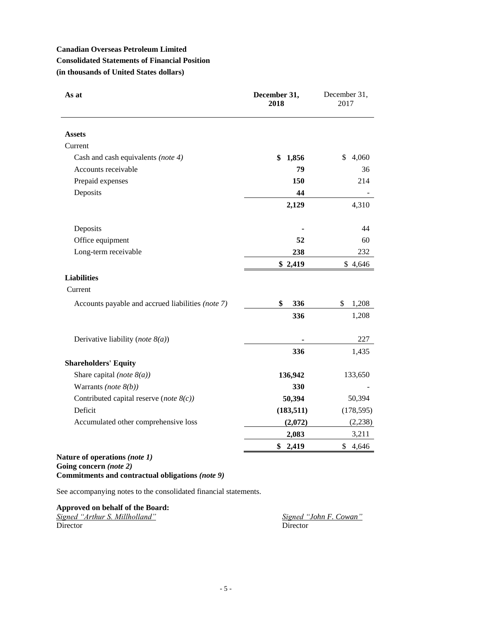# **Canadian Overseas Petroleum Limited Consolidated Statements of Financial Position (in thousands of United States dollars)**

| As at                                             | December 31,<br>2018 | December 31,<br>2017 |
|---------------------------------------------------|----------------------|----------------------|
| <b>Assets</b>                                     |                      |                      |
| Current                                           |                      |                      |
| Cash and cash equivalents (note 4)                | \$<br>1,856          | \$<br>4,060          |
| Accounts receivable                               | 79                   | 36                   |
| Prepaid expenses                                  | 150                  | 214                  |
| Deposits                                          | 44                   |                      |
|                                                   | 2,129                | 4,310                |
| Deposits                                          |                      | 44                   |
| Office equipment                                  | 52                   | 60                   |
| Long-term receivable                              | 238                  | 232                  |
|                                                   | \$2,419              | \$4,646              |
| <b>Liabilities</b>                                |                      |                      |
| Current                                           |                      |                      |
| Accounts payable and accrued liabilities (note 7) | \$<br>336            | \$<br>1,208          |
|                                                   | 336                  | 1,208                |
| Derivative liability (note $8(a)$ )               |                      | 227                  |
|                                                   | 336                  | 1,435                |
| <b>Shareholders' Equity</b>                       |                      |                      |
| Share capital (note $8(a)$ )                      | 136,942              | 133,650              |
| Warrants (note $8(b)$ )                           | 330                  |                      |
| Contributed capital reserve (note $8(c)$ )        | 50,394               | 50,394               |
| Deficit                                           | (183, 511)           | (178, 595)           |
| Accumulated other comprehensive loss              | (2,072)              | (2, 238)             |
|                                                   | 2,083                | 3,211                |
|                                                   | 2,419<br>\$          | \$4,646              |

### **Nature of operations** *(note 1)* **Going concern** *(note 2)* **Commitments and contractual obligations** *(note 9)*

See accompanying notes to the consolidated financial statements.

**Approved on behalf of the Board:** *Signed "Arthur S. Millholland" Signed "John F. Cowan"* Director Director Director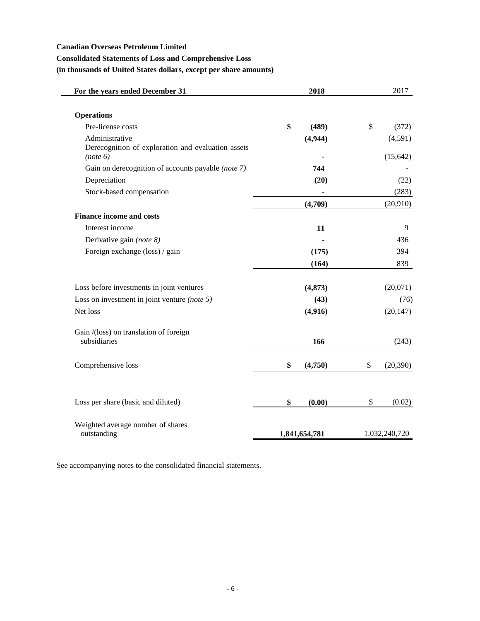### **Canadian Overseas Petroleum Limited**

### **Consolidated Statements of Loss and Comprehensive Loss**

**(in thousands of United States dollars, except per share amounts)**

| For the years ended December 31                                                  | 2018          | 2017                 |
|----------------------------------------------------------------------------------|---------------|----------------------|
|                                                                                  |               |                      |
| <b>Operations</b>                                                                |               |                      |
| Pre-license costs                                                                | \$<br>(489)   | \$<br>(372)          |
| Administrative<br>Derecognition of exploration and evaluation assets<br>(note 6) | (4,944)       | (4,591)<br>(15, 642) |
| Gain on derecognition of accounts payable (note 7)                               | 744           |                      |
|                                                                                  |               |                      |
| Depreciation                                                                     | (20)          | (22)                 |
| Stock-based compensation                                                         |               | (283)                |
|                                                                                  | (4,709)       | (20,910)             |
| <b>Finance income and costs</b>                                                  |               |                      |
| Interest income                                                                  | 11            | 9                    |
| Derivative gain (note 8)                                                         |               | 436                  |
| Foreign exchange (loss) / gain                                                   | (175)         | 394                  |
|                                                                                  | (164)         | 839                  |
| Loss before investments in joint ventures                                        | (4, 873)      | (20,071)             |
| Loss on investment in joint venture (note $5$ )                                  | (43)          | (76)                 |
| Net loss                                                                         | (4,916)       | (20, 147)            |
| Gain /(loss) on translation of foreign<br>subsidiaries                           | 166           | (243)                |
| Comprehensive loss                                                               | \$<br>(4,750) | \$<br>(20, 390)      |
| Loss per share (basic and diluted)                                               | \$<br>(0.00)  | \$<br>(0.02)         |
| Weighted average number of shares<br>outstanding                                 | 1,841,654,781 | 1,032,240,720        |

See accompanying notes to the consolidated financial statements.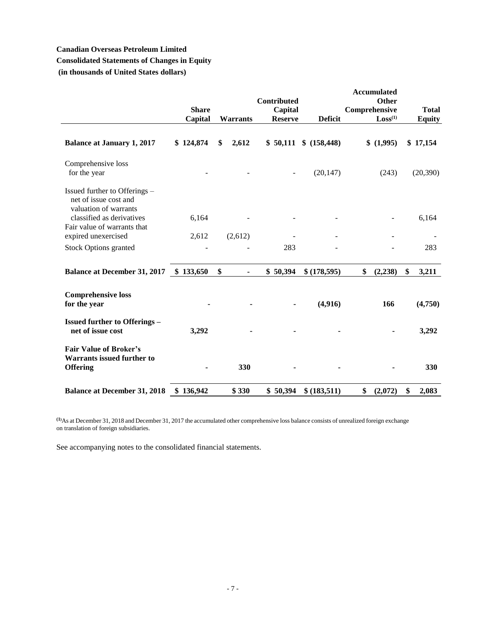## **Canadian Overseas Petroleum Limited**

# **Consolidated Statements of Changes in Equity**

**(in thousands of United States dollars)**

|                                                                                                              | <b>Share</b><br>Capital | <b>Warrants</b> | Contributed<br>Capital<br><b>Reserve</b> | <b>Deficit</b> | <b>Accumulated</b><br>Other<br>Comprehensive<br>Loss <sup>(1)</sup> | <b>Total</b><br><b>Equity</b> |
|--------------------------------------------------------------------------------------------------------------|-------------------------|-----------------|------------------------------------------|----------------|---------------------------------------------------------------------|-------------------------------|
| <b>Balance at January 1, 2017</b>                                                                            | \$124,874               | \$<br>2,612     | \$50,111                                 | \$(158, 448)   | \$(1,995)                                                           | \$17,154                      |
| Comprehensive loss<br>for the year                                                                           |                         |                 |                                          | (20, 147)      | (243)                                                               | (20, 390)                     |
| Issued further to Offerings -<br>net of issue cost and<br>valuation of warrants<br>classified as derivatives | 6,164                   |                 |                                          |                |                                                                     | 6,164                         |
| Fair value of warrants that                                                                                  |                         |                 |                                          |                |                                                                     |                               |
| expired unexercised                                                                                          | 2,612                   | (2,612)         |                                          |                |                                                                     |                               |
| <b>Stock Options granted</b>                                                                                 |                         |                 | 283                                      |                |                                                                     | 283                           |
| <b>Balance at December 31, 2017</b>                                                                          | \$133,650               | \$              | \$50,394                                 | \$(178,595)    | \$<br>(2, 238)                                                      | \$<br>3,211                   |
| <b>Comprehensive loss</b><br>for the year                                                                    |                         |                 |                                          | (4,916)        | 166                                                                 | (4,750)                       |
| <b>Issued further to Offerings -</b><br>net of issue cost                                                    | 3,292                   |                 |                                          |                |                                                                     | 3,292                         |
| <b>Fair Value of Broker's</b><br><b>Warrants issued further to</b><br><b>Offering</b>                        |                         | 330             |                                          |                |                                                                     | 330                           |
| <b>Balance at December 31, 2018</b>                                                                          | \$136,942               | \$330           | \$50,394                                 | \$ (183,511)   | \$<br>(2,072)                                                       | \$<br>2,083                   |

**(1)**As at December 31, 2018 and December 31, 2017 the accumulated other comprehensive loss balance consists of unrealized foreign exchange on translation of foreign subsidiaries.

See accompanying notes to the consolidated financial statements.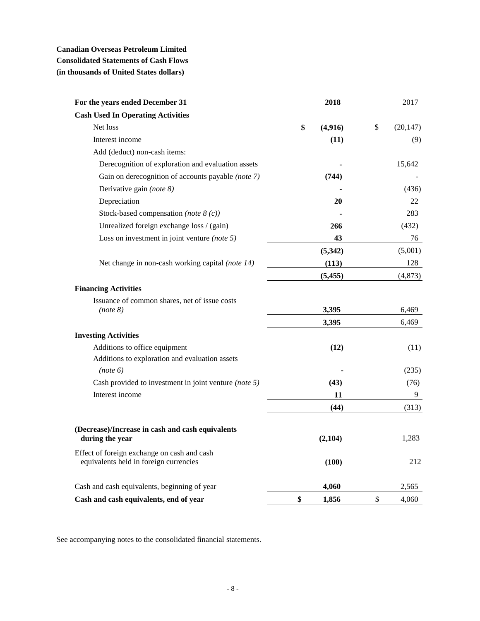# **Canadian Overseas Petroleum Limited Consolidated Statements of Cash Flows (in thousands of United States dollars)**

| For the years ended December 31                                                       | 2018          | 2017            |
|---------------------------------------------------------------------------------------|---------------|-----------------|
| <b>Cash Used In Operating Activities</b>                                              |               |                 |
| Net loss                                                                              | \$<br>(4,916) | \$<br>(20, 147) |
| Interest income                                                                       | (11)          | (9)             |
| Add (deduct) non-cash items:                                                          |               |                 |
| Derecognition of exploration and evaluation assets                                    |               | 15,642          |
| Gain on derecognition of accounts payable (note 7)                                    | (744)         |                 |
| Derivative gain (note 8)                                                              |               | (436)           |
| Depreciation                                                                          | 20            | 22              |
| Stock-based compensation (note $8(c)$ )                                               |               | 283             |
| Unrealized foreign exchange loss / (gain)                                             | 266           | (432)           |
| Loss on investment in joint venture (note $5$ )                                       | 43            | 76              |
|                                                                                       | (5,342)       | (5,001)         |
| Net change in non-cash working capital (note 14)                                      | (113)         | 128             |
|                                                                                       | (5, 455)      | (4, 873)        |
| <b>Financing Activities</b>                                                           |               |                 |
| Issuance of common shares, net of issue costs                                         |               |                 |
| (note 8)                                                                              | 3,395         | 6,469           |
|                                                                                       | 3,395         | 6,469           |
| <b>Investing Activities</b>                                                           |               |                 |
| Additions to office equipment                                                         | (12)          | (11)            |
| Additions to exploration and evaluation assets                                        |               |                 |
| (note 6)                                                                              |               | (235)           |
| Cash provided to investment in joint venture (note 5)                                 | (43)          | (76)            |
| Interest income                                                                       | 11            | 9               |
|                                                                                       | (44)          | (313)           |
|                                                                                       |               |                 |
| (Decrease)/Increase in cash and cash equivalents<br>during the year                   | (2,104)       | 1,283           |
| Effect of foreign exchange on cash and cash<br>equivalents held in foreign currencies | (100)         | 212             |
| Cash and cash equivalents, beginning of year                                          | 4,060         | 2,565           |
| Cash and cash equivalents, end of year                                                | \$<br>1,856   | \$<br>4,060     |

See accompanying notes to the consolidated financial statements.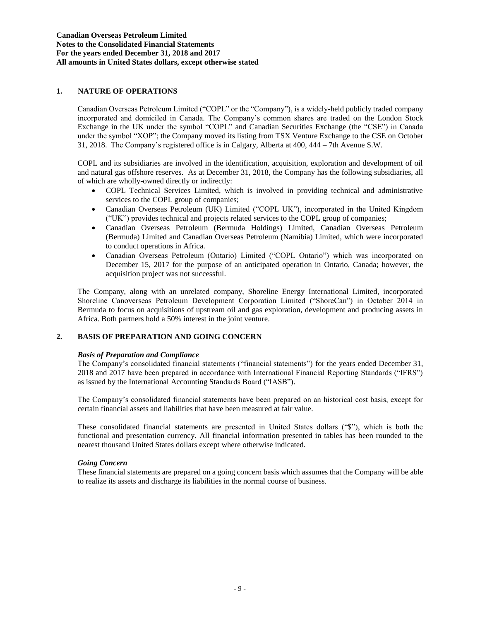### **1. NATURE OF OPERATIONS**

Canadian Overseas Petroleum Limited ("COPL" or the "Company"), is a widely-held publicly traded company incorporated and domiciled in Canada. The Company's common shares are traded on the London Stock Exchange in the UK under the symbol "COPL" and Canadian Securities Exchange (the "CSE") in Canada under the symbol "XOP"; the Company moved its listing from TSX Venture Exchange to the CSE on October 31, 2018. The Company's registered office is in Calgary, Alberta at 400, 444 – 7th Avenue S.W.

COPL and its subsidiaries are involved in the identification, acquisition, exploration and development of oil and natural gas offshore reserves. As at December 31, 2018, the Company has the following subsidiaries, all of which are wholly-owned directly or indirectly:

- COPL Technical Services Limited, which is involved in providing technical and administrative services to the COPL group of companies;
- Canadian Overseas Petroleum (UK) Limited ("COPL UK"), incorporated in the United Kingdom ("UK") provides technical and projects related services to the COPL group of companies;
- Canadian Overseas Petroleum (Bermuda Holdings) Limited, Canadian Overseas Petroleum (Bermuda) Limited and Canadian Overseas Petroleum (Namibia) Limited, which were incorporated to conduct operations in Africa.
- Canadian Overseas Petroleum (Ontario) Limited ("COPL Ontario") which was incorporated on December 15, 2017 for the purpose of an anticipated operation in Ontario, Canada; however, the acquisition project was not successful.

The Company, along with an unrelated company, Shoreline Energy International Limited, incorporated Shoreline Canoverseas Petroleum Development Corporation Limited ("ShoreCan") in October 2014 in Bermuda to focus on acquisitions of upstream oil and gas exploration, development and producing assets in Africa. Both partners hold a 50% interest in the joint venture.

### **2. BASIS OF PREPARATION AND GOING CONCERN**

#### *Basis of Preparation and Compliance*

The Company's consolidated financial statements ("financial statements") for the years ended December 31, 2018 and 2017 have been prepared in accordance with International Financial Reporting Standards ("IFRS") as issued by the International Accounting Standards Board ("IASB").

The Company's consolidated financial statements have been prepared on an historical cost basis, except for certain financial assets and liabilities that have been measured at fair value.

These consolidated financial statements are presented in United States dollars ("\$"), which is both the functional and presentation currency. All financial information presented in tables has been rounded to the nearest thousand United States dollars except where otherwise indicated.

#### *Going Concern*

These financial statements are prepared on a going concern basis which assumes that the Company will be able to realize its assets and discharge its liabilities in the normal course of business.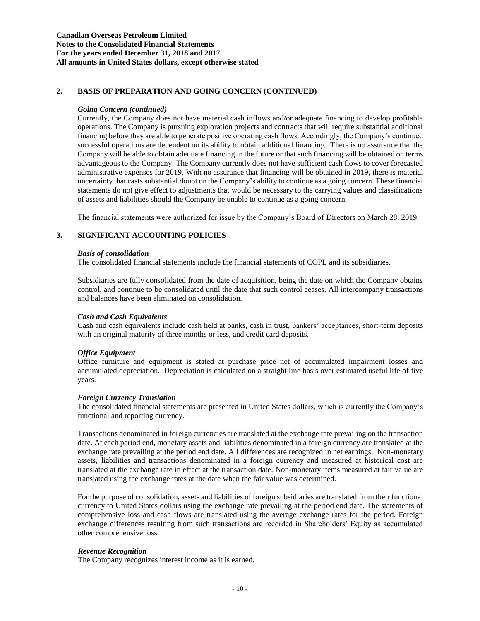### **2. BASIS OF PREPARATION AND GOING CONCERN (CONTINUED)**

### *Going Concern (continued)*

Currently, the Company does not have material cash inflows and/or adequate financing to develop profitable operations. The Company is pursuing exploration projects and contracts that will require substantial additional financing before they are able to generate positive operating cash flows. Accordingly, the Company's continued successful operations are dependent on its ability to obtain additional financing. There is no assurance that the Company will be able to obtain adequate financing in the future or that such financing will be obtained on terms advantageous to the Company. The Company currently does not have sufficient cash flows to cover forecasted administrative expenses for 2019. With no assurance that financing will be obtained in 2019, there is material uncertainty that casts substantial doubt on the Company's ability to continue as a going concern. These financial statements do not give effect to adjustments that would be necessary to the carrying values and classifications of assets and liabilities should the Company be unable to continue as a going concern.

The financial statements were authorized for issue by the Company's Board of Directors on March 28, 2019.

### **3. SIGNIFICANT ACCOUNTING POLICIES**

#### *Basis of consolidation*

The consolidated financial statements include the financial statements of COPL and its subsidiaries.

Subsidiaries are fully consolidated from the date of acquisition, being the date on which the Company obtains control, and continue to be consolidated until the date that such control ceases. All intercompany transactions and balances have been eliminated on consolidation.

### *Cash and Cash Equivalents*

Cash and cash equivalents include cash held at banks, cash in trust, bankers' acceptances, short-term deposits with an original maturity of three months or less, and credit card deposits.

### *Office Equipment*

Office furniture and equipment is stated at purchase price net of accumulated impairment losses and accumulated depreciation. Depreciation is calculated on a straight line basis over estimated useful life of five years.

#### *Foreign Currency Translation*

The consolidated financial statements are presented in United States dollars, which is currently the Company's functional and reporting currency.

Transactions denominated in foreign currencies are translated at the exchange rate prevailing on the transaction date. At each period end, monetary assets and liabilities denominated in a foreign currency are translated at the exchange rate prevailing at the period end date. All differences are recognized in net earnings. Non-monetary assets, liabilities and transactions denominated in a foreign currency and measured at historical cost are translated at the exchange rate in effect at the transaction date. Non-monetary items measured at fair value are translated using the exchange rates at the date when the fair value was determined.

For the purpose of consolidation, assets and liabilities of foreign subsidiaries are translated from their functional currency to United States dollars using the exchange rate prevailing at the period end date. The statements of comprehensive loss and cash flows are translated using the average exchange rates for the period. Foreign exchange differences resulting from such transactions are recorded in Shareholders' Equity as accumulated other comprehensive loss.

### *Revenue Recognition*

The Company recognizes interest income as it is earned.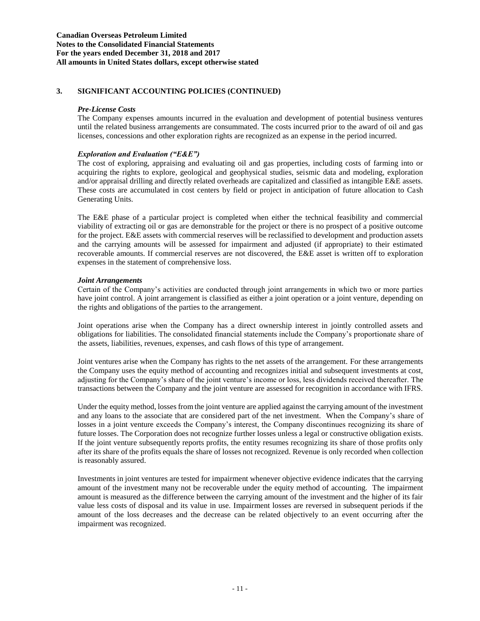#### *Pre-License Costs*

The Company expenses amounts incurred in the evaluation and development of potential business ventures until the related business arrangements are consummated. The costs incurred prior to the award of oil and gas licenses, concessions and other exploration rights are recognized as an expense in the period incurred.

### *Exploration and Evaluation ("E&E")*

The cost of exploring, appraising and evaluating oil and gas properties, including costs of farming into or acquiring the rights to explore, geological and geophysical studies, seismic data and modeling, exploration and/or appraisal drilling and directly related overheads are capitalized and classified as intangible E&E assets. These costs are accumulated in cost centers by field or project in anticipation of future allocation to Cash Generating Units.

The E&E phase of a particular project is completed when either the technical feasibility and commercial viability of extracting oil or gas are demonstrable for the project or there is no prospect of a positive outcome for the project. E&E assets with commercial reserves will be reclassified to development and production assets and the carrying amounts will be assessed for impairment and adjusted (if appropriate) to their estimated recoverable amounts. If commercial reserves are not discovered, the E&E asset is written off to exploration expenses in the statement of comprehensive loss.

### *Joint Arrangements*

Certain of the Company's activities are conducted through joint arrangements in which two or more parties have joint control. A joint arrangement is classified as either a joint operation or a joint venture, depending on the rights and obligations of the parties to the arrangement.

Joint operations arise when the Company has a direct ownership interest in jointly controlled assets and obligations for liabilities. The consolidated financial statements include the Company's proportionate share of the assets, liabilities, revenues, expenses, and cash flows of this type of arrangement.

Joint ventures arise when the Company has rights to the net assets of the arrangement. For these arrangements the Company uses the equity method of accounting and recognizes initial and subsequent investments at cost, adjusting for the Company's share of the joint venture's income or loss, less dividends received thereafter. The transactions between the Company and the joint venture are assessed for recognition in accordance with IFRS.

Under the equity method, losses from the joint venture are applied against the carrying amount of the investment and any loans to the associate that are considered part of the net investment. When the Company's share of losses in a joint venture exceeds the Company's interest, the Company discontinues recognizing its share of future losses. The Corporation does not recognize further losses unless a legal or constructive obligation exists. If the joint venture subsequently reports profits, the entity resumes recognizing its share of those profits only after its share of the profits equals the share of losses not recognized. Revenue is only recorded when collection is reasonably assured.

Investments in joint ventures are tested for impairment whenever objective evidence indicates that the carrying amount of the investment many not be recoverable under the equity method of accounting. The impairment amount is measured as the difference between the carrying amount of the investment and the higher of its fair value less costs of disposal and its value in use. Impairment losses are reversed in subsequent periods if the amount of the loss decreases and the decrease can be related objectively to an event occurring after the impairment was recognized.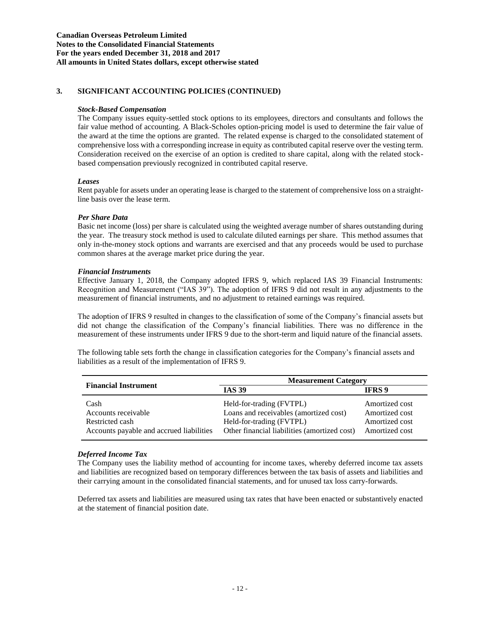### *Stock-Based Compensation*

The Company issues equity-settled stock options to its employees, directors and consultants and follows the fair value method of accounting. A Black-Scholes option-pricing model is used to determine the fair value of the award at the time the options are granted. The related expense is charged to the consolidated statement of comprehensive loss with a corresponding increase in equity as contributed capital reserve over the vesting term. Consideration received on the exercise of an option is credited to share capital, along with the related stockbased compensation previously recognized in contributed capital reserve.

### *Leases*

Rent payable for assets under an operating lease is charged to the statement of comprehensive loss on a straightline basis over the lease term.

### *Per Share Data*

Basic net income (loss) per share is calculated using the weighted average number of shares outstanding during the year. The treasury stock method is used to calculate diluted earnings per share. This method assumes that only in-the-money stock options and warrants are exercised and that any proceeds would be used to purchase common shares at the average market price during the year.

### *Financial Instruments*

Effective January 1, 2018, the Company adopted IFRS 9, which replaced IAS 39 Financial Instruments: Recognition and Measurement ("IAS 39"). The adoption of IFRS 9 did not result in any adjustments to the measurement of financial instruments, and no adjustment to retained earnings was required.

The adoption of IFRS 9 resulted in changes to the classification of some of the Company's financial assets but did not change the classification of the Company's financial liabilities. There was no difference in the measurement of these instruments under IFRS 9 due to the short-term and liquid nature of the financial assets.

The following table sets forth the change in classification categories for the Company's financial assets and liabilities as a result of the implementation of IFRS 9.

| <b>Financial Instrument</b>                                                                | <b>Measurement Category</b>                                                                                                                    |                                                                      |  |
|--------------------------------------------------------------------------------------------|------------------------------------------------------------------------------------------------------------------------------------------------|----------------------------------------------------------------------|--|
|                                                                                            | <b>IAS 39</b>                                                                                                                                  | <b>IFRS</b> 9                                                        |  |
| Cash<br>Accounts receivable<br>Restricted cash<br>Accounts payable and accrued liabilities | Held-for-trading (FVTPL)<br>Loans and receivables (amortized cost)<br>Held-for-trading (FVTPL)<br>Other financial liabilities (amortized cost) | Amortized cost<br>Amortized cost<br>Amortized cost<br>Amortized cost |  |

#### *Deferred Income Tax*

The Company uses the liability method of accounting for income taxes, whereby deferred income tax assets and liabilities are recognized based on temporary differences between the tax basis of assets and liabilities and their carrying amount in the consolidated financial statements, and for unused tax loss carry-forwards.

Deferred tax assets and liabilities are measured using tax rates that have been enacted or substantively enacted at the statement of financial position date.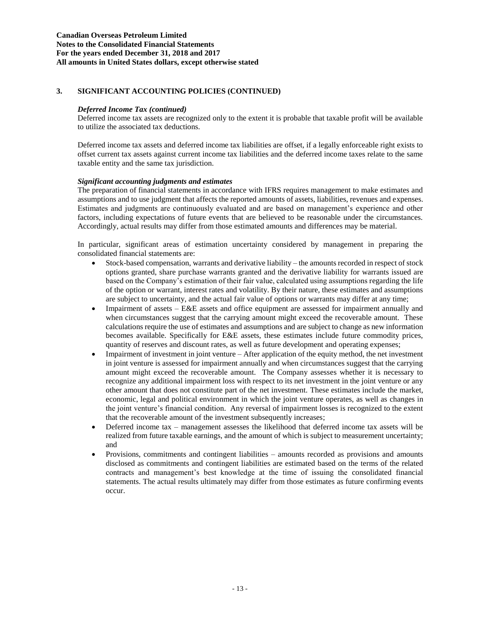#### *Deferred Income Tax (continued)*

Deferred income tax assets are recognized only to the extent it is probable that taxable profit will be available to utilize the associated tax deductions.

Deferred income tax assets and deferred income tax liabilities are offset, if a legally enforceable right exists to offset current tax assets against current income tax liabilities and the deferred income taxes relate to the same taxable entity and the same tax jurisdiction.

### *Significant accounting judgments and estimates*

The preparation of financial statements in accordance with IFRS requires management to make estimates and assumptions and to use judgment that affects the reported amounts of assets, liabilities, revenues and expenses. Estimates and judgments are continuously evaluated and are based on management's experience and other factors, including expectations of future events that are believed to be reasonable under the circumstances. Accordingly, actual results may differ from those estimated amounts and differences may be material.

In particular, significant areas of estimation uncertainty considered by management in preparing the consolidated financial statements are:

- Stock-based compensation, warrants and derivative liability the amounts recorded in respect of stock options granted, share purchase warrants granted and the derivative liability for warrants issued are based on the Company's estimation of their fair value, calculated using assumptions regarding the life of the option or warrant, interest rates and volatility. By their nature, these estimates and assumptions are subject to uncertainty, and the actual fair value of options or warrants may differ at any time;
- Impairment of assets E&E assets and office equipment are assessed for impairment annually and when circumstances suggest that the carrying amount might exceed the recoverable amount. These calculations require the use of estimates and assumptions and are subject to change as new information becomes available. Specifically for E&E assets, these estimates include future commodity prices, quantity of reserves and discount rates, as well as future development and operating expenses;
- Impairment of investment in joint venture After application of the equity method, the net investment in joint venture is assessed for impairment annually and when circumstances suggest that the carrying amount might exceed the recoverable amount. The Company assesses whether it is necessary to recognize any additional impairment loss with respect to its net investment in the joint venture or any other amount that does not constitute part of the net investment. These estimates include the market, economic, legal and political environment in which the joint venture operates, as well as changes in the joint venture's financial condition. Any reversal of impairment losses is recognized to the extent that the recoverable amount of the investment subsequently increases;
- Deferred income tax management assesses the likelihood that deferred income tax assets will be realized from future taxable earnings, and the amount of which is subject to measurement uncertainty; and
- Provisions, commitments and contingent liabilities amounts recorded as provisions and amounts disclosed as commitments and contingent liabilities are estimated based on the terms of the related contracts and management's best knowledge at the time of issuing the consolidated financial statements. The actual results ultimately may differ from those estimates as future confirming events occur.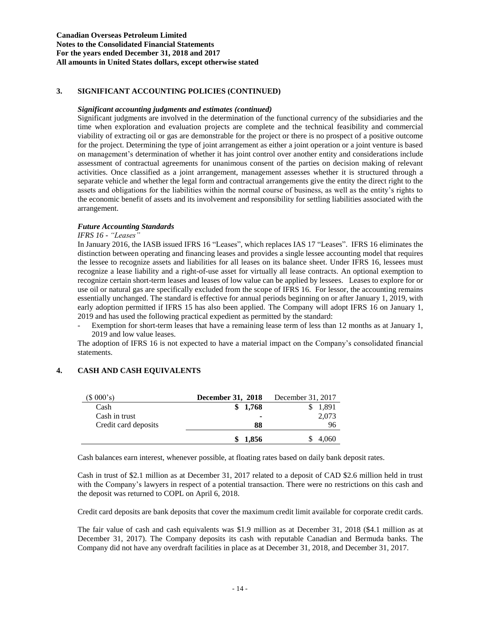#### *Significant accounting judgments and estimates (continued)*

Significant judgments are involved in the determination of the functional currency of the subsidiaries and the time when exploration and evaluation projects are complete and the technical feasibility and commercial viability of extracting oil or gas are demonstrable for the project or there is no prospect of a positive outcome for the project. Determining the type of joint arrangement as either a joint operation or a joint venture is based on management's determination of whether it has joint control over another entity and considerations include assessment of contractual agreements for unanimous consent of the parties on decision making of relevant activities. Once classified as a joint arrangement, management assesses whether it is structured through a separate vehicle and whether the legal form and contractual arrangements give the entity the direct right to the assets and obligations for the liabilities within the normal course of business, as well as the entity's rights to the economic benefit of assets and its involvement and responsibility for settling liabilities associated with the arrangement.

### *Future Accounting Standards*

### *IFRS 16 - "Leases"*

In January 2016, the IASB issued IFRS 16 "Leases", which replaces IAS 17 "Leases". IFRS 16 eliminates the distinction between operating and financing leases and provides a single lessee accounting model that requires the lessee to recognize assets and liabilities for all leases on its balance sheet. Under IFRS 16, lessees must recognize a lease liability and a right-of-use asset for virtually all lease contracts. An optional exemption to recognize certain short-term leases and leases of low value can be applied by lessees. Leases to explore for or use oil or natural gas are specifically excluded from the scope of IFRS 16. For lessor, the accounting remains essentially unchanged. The standard is effective for annual periods beginning on or after January 1, 2019, with early adoption permitted if IFRS 15 has also been applied. The Company will adopt IFRS 16 on January 1, 2019 and has used the following practical expedient as permitted by the standard:

Exemption for short-term leases that have a remaining lease term of less than 12 months as at January 1, 2019 and low value leases.

The adoption of IFRS 16 is not expected to have a material impact on the Company's consolidated financial statements.

### **4. CASH AND CASH EQUIVALENTS**

| (\$000's)            | <b>December 31, 2018</b> | December 31, 2017 |
|----------------------|--------------------------|-------------------|
| Cash                 | 1,768                    | 1,891             |
| Cash in trust        |                          | 2,073             |
| Credit card deposits | 88                       | 96                |
|                      | 1.856                    | 4,060             |

Cash balances earn interest, whenever possible, at floating rates based on daily bank deposit rates.

Cash in trust of \$2.1 million as at December 31, 2017 related to a deposit of CAD \$2.6 million held in trust with the Company's lawyers in respect of a potential transaction. There were no restrictions on this cash and the deposit was returned to COPL on April 6, 2018.

Credit card deposits are bank deposits that cover the maximum credit limit available for corporate credit cards.

The fair value of cash and cash equivalents was \$1.9 million as at December 31, 2018 (\$4.1 million as at December 31, 2017). The Company deposits its cash with reputable Canadian and Bermuda banks. The Company did not have any overdraft facilities in place as at December 31, 2018, and December 31, 2017.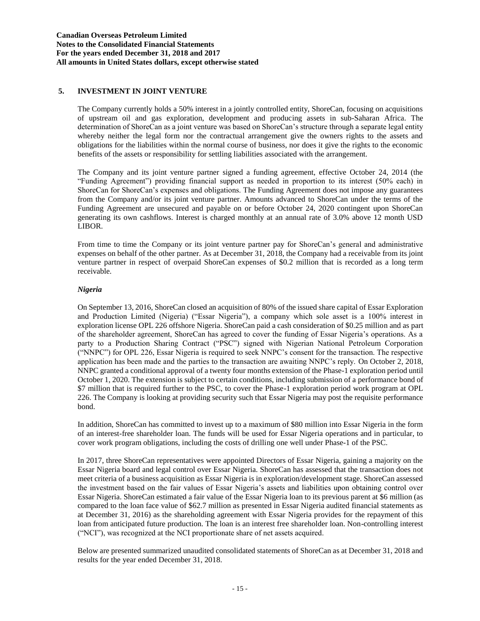### **5. INVESTMENT IN JOINT VENTURE**

The Company currently holds a 50% interest in a jointly controlled entity, ShoreCan, focusing on acquisitions of upstream oil and gas exploration, development and producing assets in sub-Saharan Africa. The determination of ShoreCan as a joint venture was based on ShoreCan's structure through a separate legal entity whereby neither the legal form nor the contractual arrangement give the owners rights to the assets and obligations for the liabilities within the normal course of business, nor does it give the rights to the economic benefits of the assets or responsibility for settling liabilities associated with the arrangement.

The Company and its joint venture partner signed a funding agreement, effective October 24, 2014 (the "Funding Agreement") providing financial support as needed in proportion to its interest (50% each) in ShoreCan for ShoreCan's expenses and obligations. The Funding Agreement does not impose any guarantees from the Company and/or its joint venture partner. Amounts advanced to ShoreCan under the terms of the Funding Agreement are unsecured and payable on or before October 24, 2020 contingent upon ShoreCan generating its own cashflows. Interest is charged monthly at an annual rate of 3.0% above 12 month USD LIBOR.

From time to time the Company or its joint venture partner pay for ShoreCan's general and administrative expenses on behalf of the other partner. As at December 31, 2018, the Company had a receivable from its joint venture partner in respect of overpaid ShoreCan expenses of \$0.2 million that is recorded as a long term receivable.

### *Nigeria*

On September 13, 2016, ShoreCan closed an acquisition of 80% of the issued share capital of Essar Exploration and Production Limited (Nigeria) ("Essar Nigeria"), a company which sole asset is a 100% interest in exploration license OPL 226 offshore Nigeria. ShoreCan paid a cash consideration of \$0.25 million and as part of the shareholder agreement, ShoreCan has agreed to cover the funding of Essar Nigeria's operations. As a party to a Production Sharing Contract ("PSC") signed with Nigerian National Petroleum Corporation ("NNPC") for OPL 226, Essar Nigeria is required to seek NNPC's consent for the transaction. The respective application has been made and the parties to the transaction are awaiting NNPC's reply. On October 2, 2018, NNPC granted a conditional approval of a twenty four months extension of the Phase-1 exploration period until October 1, 2020. The extension is subject to certain conditions, including submission of a performance bond of \$7 million that is required further to the PSC, to cover the Phase-1 exploration period work program at OPL 226. The Company is looking at providing security such that Essar Nigeria may post the requisite performance bond.

In addition, ShoreCan has committed to invest up to a maximum of \$80 million into Essar Nigeria in the form of an interest-free shareholder loan. The funds will be used for Essar Nigeria operations and in particular, to cover work program obligations, including the costs of drilling one well under Phase-1 of the PSC.

In 2017, three ShoreCan representatives were appointed Directors of Essar Nigeria, gaining a majority on the Essar Nigeria board and legal control over Essar Nigeria. ShoreCan has assessed that the transaction does not meet criteria of a business acquisition as Essar Nigeria is in exploration/development stage. ShoreCan assessed the investment based on the fair values of Essar Nigeria's assets and liabilities upon obtaining control over Essar Nigeria. ShoreCan estimated a fair value of the Essar Nigeria loan to its previous parent at \$6 million (as compared to the loan face value of \$62.7 million as presented in Essar Nigeria audited financial statements as at December 31, 2016) as the shareholding agreement with Essar Nigeria provides for the repayment of this loan from anticipated future production. The loan is an interest free shareholder loan. Non-controlling interest ("NCI"), was recognized at the NCI proportionate share of net assets acquired.

Below are presented summarized unaudited consolidated statements of ShoreCan as at December 31, 2018 and results for the year ended December 31, 2018.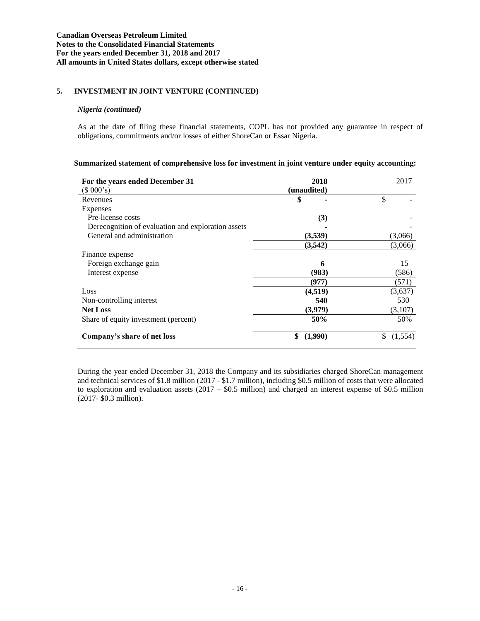### **5. INVESTMENT IN JOINT VENTURE (CONTINUED)**

#### *Nigeria (continued)*

As at the date of filing these financial statements, COPL has not provided any guarantee in respect of obligations, commitments and/or losses of either ShoreCan or Essar Nigeria.

### **Summarized statement of comprehensive loss for investment in joint venture under equity accounting:**

| For the years ended December 31                    | 2018          | 2017          |
|----------------------------------------------------|---------------|---------------|
| (\$000's)                                          | (unaudited)   |               |
| Revenues                                           | \$            | \$            |
| Expenses                                           |               |               |
| Pre-license costs                                  | (3)           |               |
| Derecognition of evaluation and exploration assets |               |               |
| General and administration                         | (3,539)       | (3,066)       |
|                                                    | (3,542)       | (3,066)       |
| Finance expense                                    |               |               |
| Foreign exchange gain                              | 6             | 15            |
| Interest expense                                   | (983)         | (586)         |
|                                                    | (977)         | (571)         |
| Loss                                               | (4,519)       | (3,637)       |
| Non-controlling interest                           | 540           | 530           |
| <b>Net Loss</b>                                    | (3,979)       | (3,107)       |
| Share of equity investment (percent)               | 50%           | 50%           |
| Company's share of net loss                        | \$<br>(1,990) | \$<br>(1,554) |

During the year ended December 31, 2018 the Company and its subsidiaries charged ShoreCan management and technical services of \$1.8 million (2017 - \$1.7 million), including \$0.5 million of costs that were allocated to exploration and evaluation assets  $(2017 - $0.5 \text{ million})$  and charged an interest expense of \$0.5 million (2017- \$0.3 million).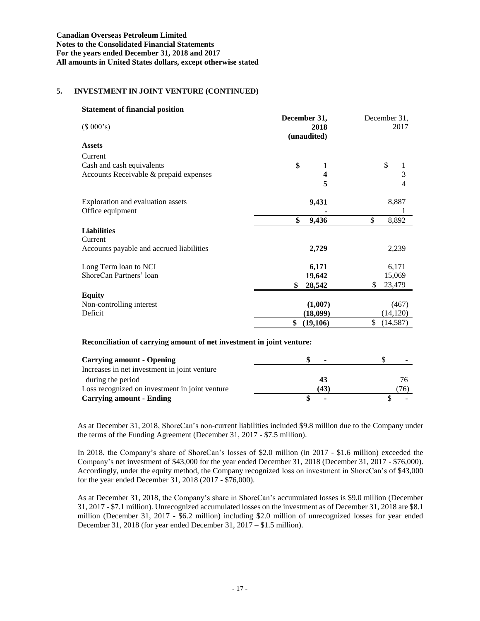### **5. INVESTMENT IN JOINT VENTURE (CONTINUED)**

| <b>Statement of financial position</b>                                |                         |                       |
|-----------------------------------------------------------------------|-------------------------|-----------------------|
| (\$000's)                                                             | December 31,<br>2018    | December 31,<br>2017  |
|                                                                       | (unaudited)             |                       |
| <b>Assets</b>                                                         |                         |                       |
| Current                                                               |                         |                       |
| Cash and cash equivalents                                             | \$<br>1                 | \$<br>1               |
| Accounts Receivable & prepaid expenses                                | 4                       | 3                     |
|                                                                       | $\overline{\mathbf{5}}$ | $\overline{4}$        |
| Exploration and evaluation assets                                     | 9,431                   | 8,887                 |
| Office equipment                                                      |                         |                       |
|                                                                       | \$<br>9,436             | $\mathbb{S}$<br>8,892 |
| <b>Liabilities</b><br>Current                                         |                         |                       |
| Accounts payable and accrued liabilities                              | 2,729                   | 2,239                 |
| Long Term loan to NCI                                                 | 6,171                   | 6,171                 |
| ShoreCan Partners' loan                                               | 19,642                  | 15,069                |
|                                                                       | \$<br>28,542            | \$<br>23,479          |
| <b>Equity</b>                                                         |                         |                       |
| Non-controlling interest                                              | (1,007)                 | (467)                 |
| Deficit                                                               | (18,099)                | (14, 120)             |
|                                                                       | (19,106)<br>\$          | \$<br>(14, 587)       |
| Reconciliation of carrying amount of net investment in joint venture: |                         |                       |
| <b>Carrying amount - Opening</b>                                      | \$                      | \$                    |
| Increases in net investment in joint venture                          |                         |                       |
| during the period                                                     | 43                      | 76                    |
| Loss recognized on investment in joint venture                        | (43)                    | (76)                  |

As at December 31, 2018, ShoreCan's non-current liabilities included \$9.8 million due to the Company under the terms of the Funding Agreement (December 31, 2017 - \$7.5 million).

**Carrying amount - Ending \$ -** \$ -

In 2018, the Company's share of ShoreCan's losses of \$2.0 million (in 2017 - \$1.6 million) exceeded the Company's net investment of \$43,000 for the year ended December 31, 2018 (December 31, 2017 - \$76,000). Accordingly, under the equity method, the Company recognized loss on investment in ShoreCan's of \$43,000 for the year ended December 31, 2018 (2017 - \$76,000).

As at December 31, 2018, the Company's share in ShoreCan's accumulated losses is \$9.0 million (December 31, 2017 - \$7.1 million). Unrecognized accumulated losses on the investment as of December 31, 2018 are \$8.1 million (December 31, 2017 - \$6.2 million) including \$2.0 million of unrecognized losses for year ended December 31, 2018 (for year ended December 31, 2017 – \$1.5 million).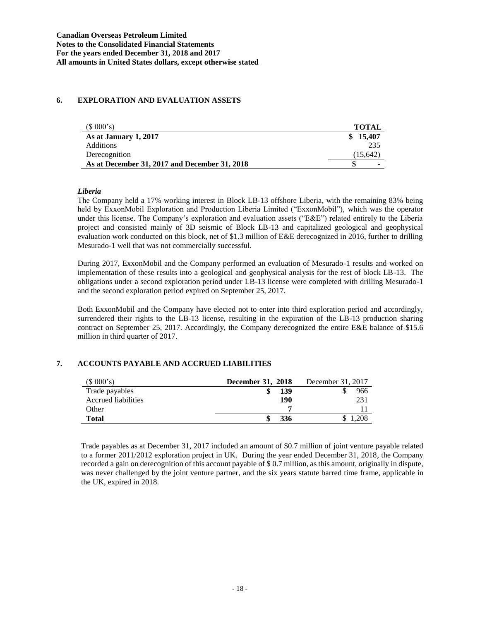### **6. EXPLORATION AND EVALUATION ASSETS**

| (S 000's)                                     | TOTAL         |
|-----------------------------------------------|---------------|
| As at January 1, 2017                         | 15.407<br>SS. |
| <b>Additions</b>                              | 235           |
| Derecognition                                 | (15.642)      |
| As at December 31, 2017 and December 31, 2018 | ۰             |

### *Liberia*

The Company held a 17% working interest in Block LB-13 offshore Liberia, with the remaining 83% being held by ExxonMobil Exploration and Production Liberia Limited ("ExxonMobil"), which was the operator under this license. The Company's exploration and evaluation assets ("E&E") related entirely to the Liberia project and consisted mainly of 3D seismic of Block LB-13 and capitalized geological and geophysical evaluation work conducted on this block, net of \$1.3 million of E&E derecognized in 2016, further to drilling Mesurado-1 well that was not commercially successful.

During 2017, ExxonMobil and the Company performed an evaluation of Mesurado-1 results and worked on implementation of these results into a geological and geophysical analysis for the rest of block LB-13. The obligations under a second exploration period under LB-13 license were completed with drilling Mesurado-1 and the second exploration period expired on September 25, 2017.

Both ExxonMobil and the Company have elected not to enter into third exploration period and accordingly, surrendered their rights to the LB-13 license, resulting in the expiration of the LB-13 production sharing contract on September 25, 2017. Accordingly, the Company derecognized the entire E&E balance of \$15.6 million in third quarter of 2017.

# **7. ACCOUNTS PAYABLE AND ACCRUED LIABILITIES**

| (\$000's)           | December 31, 2018 | December 31, 2017 |
|---------------------|-------------------|-------------------|
| Trade payables      | 139               | 966               |
| Accrued liabilities | 190               | 231               |
| Other               |                   |                   |
| <b>Total</b>        | 336               | .208              |

Trade payables as at December 31, 2017 included an amount of \$0.7 million of joint venture payable related to a former 2011/2012 exploration project in UK. During the year ended December 31, 2018, the Company recorded a gain on derecognition of this account payable of \$ 0.7 million, as this amount, originally in dispute, was never challenged by the joint venture partner, and the six years statute barred time frame, applicable in the UK, expired in 2018.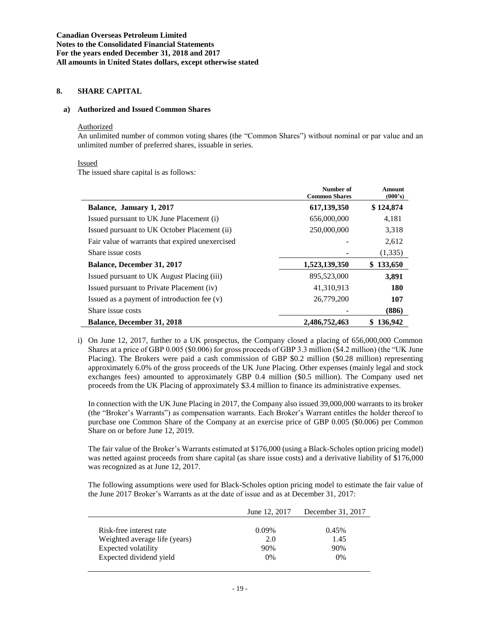### **8. SHARE CAPITAL**

#### **a) Authorized and Issued Common Shares**

#### Authorized

An unlimited number of common voting shares (the "Common Shares") without nominal or par value and an unlimited number of preferred shares, issuable in series.

#### Issued

The issued share capital is as follows:

|                                                 | Number of<br><b>Common Shares</b> | Amount<br>(000's) |
|-------------------------------------------------|-----------------------------------|-------------------|
| Balance, January 1, 2017                        | 617, 139, 350                     | \$124,874         |
| Issued pursuant to UK June Placement (i)        | 656,000,000                       | 4,181             |
| Issued pursuant to UK October Placement (ii)    | 250,000,000                       | 3,318             |
| Fair value of warrants that expired unexercised |                                   | 2,612             |
| Share issue costs                               |                                   | (1,335)           |
| <b>Balance, December 31, 2017</b>               | 1,523,139,350                     | 133,650<br>S.     |
| Issued pursuant to UK August Placing (iii)      | 895,523,000                       | 3,891             |
| Issued pursuant to Private Placement (iv)       | 41,310,913                        | 180               |
| Issued as a payment of introduction fee (v)     | 26,779,200                        | 107               |
| Share issue costs                               |                                   | (886)             |
| <b>Balance, December 31, 2018</b>               | 2.486,752,463                     | 136.942<br>S      |

i) On June 12, 2017, further to a UK prospectus, the Company closed a placing of 656,000,000 Common Shares at a price of GBP 0.005 (\$0.006) for gross proceeds of GBP 3.3 million (\$4.2 million) (the "UK June Placing). The Brokers were paid a cash commission of GBP \$0.2 million (\$0.28 million) representing approximately 6.0% of the gross proceeds of the UK June Placing. Other expenses (mainly legal and stock exchanges fees) amounted to approximately GBP 0.4 million (\$0.5 million). The Company used net proceeds from the UK Placing of approximately \$3.4 million to finance its administrative expenses.

In connection with the UK June Placing in 2017, the Company also issued 39,000,000 warrants to its broker (the "Broker's Warrants") as compensation warrants. Each Broker's Warrant entitles the holder thereof to purchase one Common Share of the Company at an exercise price of GBP 0.005 (\$0.006) per Common Share on or before June 12, 2019.

The fair value of the Broker's Warrants estimated at \$176,000 (using a Black-Scholes option pricing model) was netted against proceeds from share capital (as share issue costs) and a derivative liability of \$176,000 was recognized as at June 12, 2017.

The following assumptions were used for Black-Scholes option pricing model to estimate the fair value of the June 2017 Broker's Warrants as at the date of issue and as at December 31, 2017:

|                               | June 12, 2017 | December 31, 2017 |
|-------------------------------|---------------|-------------------|
|                               |               |                   |
| Risk-free interest rate       | 0.09%         | 0.45%             |
| Weighted average life (years) | 2.0           | 1.45              |
| Expected volatility           | 90%           | 90%               |
| Expected dividend yield       | $0\%$         | $0\%$             |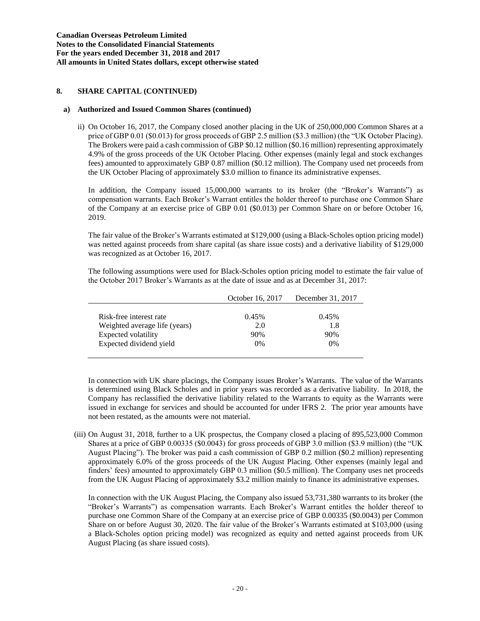### **8. SHARE CAPITAL (CONTINUED)**

#### **a) Authorized and Issued Common Shares (continued)**

ii) On October 16, 2017, the Company closed another placing in the UK of 250,000,000 Common Shares at a price of GBP 0.01 (\$0.013) for gross proceeds of GBP 2.5 million (\$3.3 million) (the "UK October Placing). The Brokers were paid a cash commission of GBP \$0.12 million (\$0.16 million) representing approximately 4.9% of the gross proceeds of the UK October Placing. Other expenses (mainly legal and stock exchanges fees) amounted to approximately GBP 0.87 million (\$0.12 million). The Company used net proceeds from the UK October Placing of approximately \$3.0 million to finance its administrative expenses.

In addition, the Company issued 15,000,000 warrants to its broker (the "Broker's Warrants") as compensation warrants. Each Broker's Warrant entitles the holder thereof to purchase one Common Share of the Company at an exercise price of GBP 0.01 (\$0.013) per Common Share on or before October 16, 2019.

The fair value of the Broker's Warrants estimated at \$129,000 (using a Black-Scholes option pricing model) was netted against proceeds from share capital (as share issue costs) and a derivative liability of \$129,000 was recognized as at October 16, 2017.

The following assumptions were used for Black-Scholes option pricing model to estimate the fair value of the October 2017 Broker's Warrants as at the date of issue and as at December 31, 2017:

|                               | October 16, 2017 | December 31, 2017 |
|-------------------------------|------------------|-------------------|
|                               |                  |                   |
| Risk-free interest rate       | 0.45%            | $0.45\%$          |
| Weighted average life (years) | 2.0              | 1.8               |
| Expected volatility           | 90%              | 90%               |
| Expected dividend yield       | $0\%$            | $0\%$             |
|                               |                  |                   |

In connection with UK share placings, the Company issues Broker's Warrants. The value of the Warrants is determined using Black Scholes and in prior years was recorded as a derivative liability. In 2018, the Company has reclassified the derivative liability related to the Warrants to equity as the Warrants were issued in exchange for services and should be accounted for under IFRS 2. The prior year amounts have not been restated, as the amounts were not material.

(iii) On August 31, 2018, further to a UK prospectus, the Company closed a placing of 895,523,000 Common Shares at a price of GBP 0.00335 (\$0.0043) for gross proceeds of GBP 3.0 million (\$3.9 million) (the "UK August Placing"). The broker was paid a cash commission of GBP 0.2 million (\$0.2 million) representing approximately 6.0% of the gross proceeds of the UK August Placing. Other expenses (mainly legal and finders' fees) amounted to approximately GBP 0.3 million (\$0.5 million). The Company uses net proceeds from the UK August Placing of approximately \$3.2 million mainly to finance its administrative expenses.

In connection with the UK August Placing, the Company also issued 53,731,380 warrants to its broker (the "Broker's Warrants") as compensation warrants. Each Broker's Warrant entitles the holder thereof to purchase one Common Share of the Company at an exercise price of GBP 0.00335 (\$0.0043) per Common Share on or before August 30, 2020. The fair value of the Broker's Warrants estimated at \$103,000 (using a Black-Scholes option pricing model) was recognized as equity and netted against proceeds from UK August Placing (as share issued costs).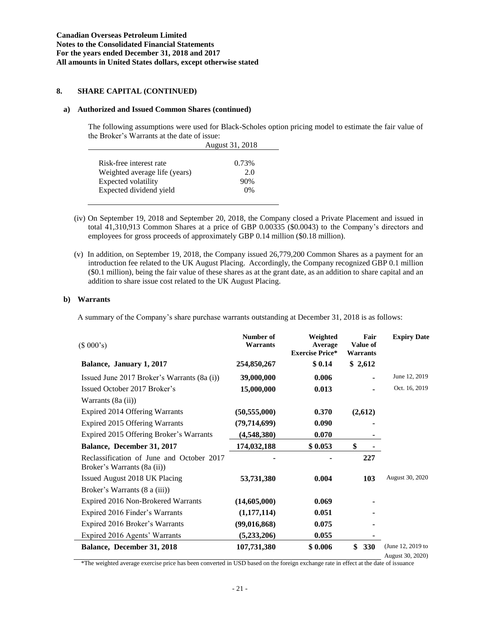### **8. SHARE CAPITAL (CONTINUED)**

#### **a) Authorized and Issued Common Shares (continued)**

The following assumptions were used for Black-Scholes option pricing model to estimate the fair value of the Broker's Warrants at the date of issue:

|                               | August 31, 2018 |
|-------------------------------|-----------------|
| Risk-free interest rate       | 0.73%           |
| Weighted average life (years) | 2.0             |
| Expected volatility           | 90%             |
| Expected dividend yield       | 0%              |

- (iv) On September 19, 2018 and September 20, 2018, the Company closed a Private Placement and issued in total 41,310,913 Common Shares at a price of GBP 0.00335 (\$0.0043) to the Company's directors and employees for gross proceeds of approximately GBP 0.14 million (\$0.18 million).
- (v) In addition, on September 19, 2018, the Company issued 26,779,200 Common Shares as a payment for an introduction fee related to the UK August Placing. Accordingly, the Company recognized GBP 0.1 million (\$0.1 million), being the fair value of these shares as at the grant date, as an addition to share capital and an addition to share issue cost related to the UK August Placing.

### **b) Warrants**

A summary of the Company's share purchase warrants outstanding at December 31, 2018 is as follows:

| (\$000's)                                                                | Number of<br>Warrants | Weighted<br>Average<br><b>Exercise Price*</b> | Fair<br>Value of<br><b>Warrants</b> | <b>Expiry Date</b>                    |
|--------------------------------------------------------------------------|-----------------------|-----------------------------------------------|-------------------------------------|---------------------------------------|
| Balance, January 1, 2017                                                 | 254,850,267           | \$0.14                                        | \$2,612                             |                                       |
| Issued June 2017 Broker's Warrants (8a (i))                              | 39,000,000            | 0.006                                         |                                     | June 12, 2019                         |
| Issued October 2017 Broker's                                             | 15,000,000            | 0.013                                         |                                     | Oct. 16, 2019                         |
| Warrants (8a (ii))                                                       |                       |                                               |                                     |                                       |
| Expired 2014 Offering Warrants                                           | (50, 555, 000)        | 0.370                                         | (2,612)                             |                                       |
| Expired 2015 Offering Warrants                                           | (79, 714, 699)        | 0.090                                         |                                     |                                       |
| Expired 2015 Offering Broker's Warrants                                  | (4,548,380)           | 0.070                                         |                                     |                                       |
| Balance, December 31, 2017                                               | 174,032,188           | \$0.053                                       | \$                                  |                                       |
| Reclassification of June and October 2017<br>Broker's Warrants (8a (ii)) |                       |                                               | 227                                 |                                       |
| Issued August 2018 UK Placing                                            | 53,731,380            | 0.004                                         | 103                                 | August 30, 2020                       |
| Broker's Warrants (8 a (iii))                                            |                       |                                               |                                     |                                       |
| Expired 2016 Non-Brokered Warrants                                       | (14,605,000)          | 0.069                                         |                                     |                                       |
| Expired 2016 Finder's Warrants                                           | (1,177,114)           | 0.051                                         |                                     |                                       |
| Expired 2016 Broker's Warrants                                           | (99,016,868)          | 0.075                                         |                                     |                                       |
| Expired 2016 Agents' Warrants                                            | (5,233,206)           | 0.055                                         |                                     |                                       |
| Balance, December 31, 2018                                               | 107,731,380           | \$0.006                                       | \$<br>330                           | (June 12, 2019 to<br>August 30, 2020) |

\*The weighted average exercise price has been converted in USD based on the foreign exchange rate in effect at the date of issuance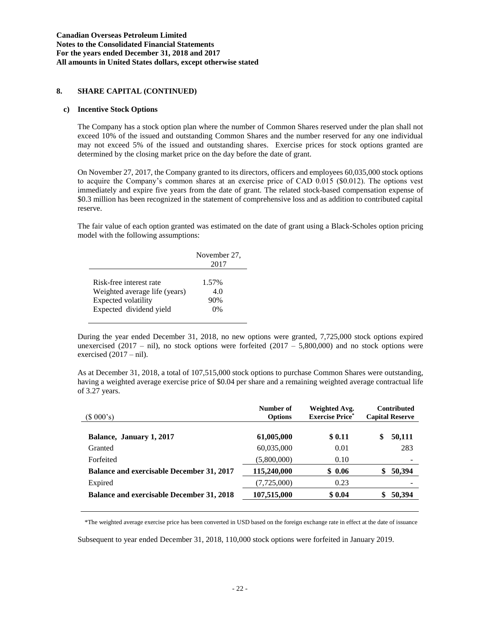### **8. SHARE CAPITAL (CONTINUED)**

#### **c) Incentive Stock Options**

The Company has a stock option plan where the number of Common Shares reserved under the plan shall not exceed 10% of the issued and outstanding Common Shares and the number reserved for any one individual may not exceed 5% of the issued and outstanding shares. Exercise prices for stock options granted are determined by the closing market price on the day before the date of grant.

On November 27, 2017, the Company granted to its directors, officers and employees 60,035,000 stock options to acquire the Company's common shares at an exercise price of CAD 0.015 (\$0.012). The options vest immediately and expire five years from the date of grant. The related stock-based compensation expense of \$0.3 million has been recognized in the statement of comprehensive loss and as addition to contributed capital reserve.

The fair value of each option granted was estimated on the date of grant using a Black-Scholes option pricing model with the following assumptions:

|                               | November 27,<br>2017 |
|-------------------------------|----------------------|
| Risk-free interest rate       | 1.57%                |
| Weighted average life (years) | 4.0                  |
| Expected volatility           | 90%                  |
| Expected dividend yield       | $0\%$                |

During the year ended December 31, 2018, no new options were granted, 7,725,000 stock options expired unexercised (2017 – nil), no stock options were forfeited (2017 – 5,800,000) and no stock options were exercised  $(2017 - \text{nil})$ .

As at December 31, 2018, a total of 107,515,000 stock options to purchase Common Shares were outstanding, having a weighted average exercise price of \$0.04 per share and a remaining weighted average contractual life of 3.27 years.

| (\$000's)                                        | Number of<br><b>Options</b> | Weighted Avg.<br><b>Exercise Price*</b> | <b>Contributed</b><br><b>Capital Reserve</b> |
|--------------------------------------------------|-----------------------------|-----------------------------------------|----------------------------------------------|
| Balance, January 1, 2017                         | 61,005,000                  | \$0.11                                  | \$<br>50,111                                 |
| Granted                                          | 60,035,000                  | 0.01                                    | 283                                          |
| Forfeited                                        | (5,800,000)                 | 0.10                                    |                                              |
| <b>Balance and exercisable December 31, 2017</b> | 115,240,000                 | \$0.06                                  | 50,394<br>\$                                 |
| Expired                                          | (7,725,000)                 | 0.23                                    |                                              |
| <b>Balance and exercisable December 31, 2018</b> | 107,515,000                 | \$0.04                                  | 50,394                                       |

\*The weighted average exercise price has been converted in USD based on the foreign exchange rate in effect at the date of issuance

Subsequent to year ended December 31, 2018, 110,000 stock options were forfeited in January 2019.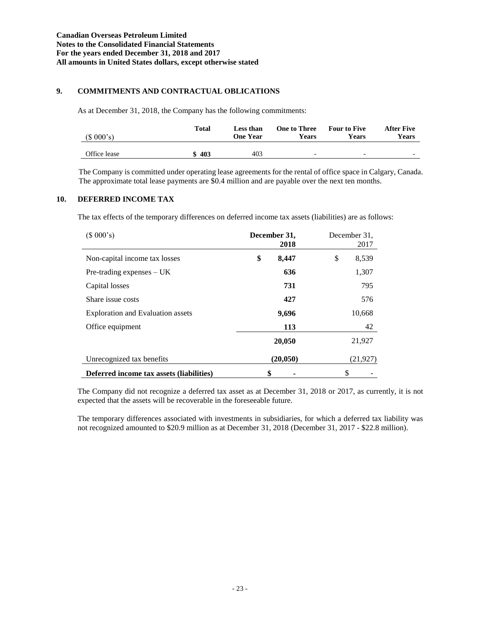# **9. COMMITMENTS AND CONTRACTUAL OBLICATIONS**

As at December 31, 2018, the Company has the following commitments:

| (\$000's)    | Total | Less than<br><b>One Year</b> | <b>One to Three</b><br>Years | <b>Four to Five</b><br><b>Years</b> | <b>After Five</b><br>Years |
|--------------|-------|------------------------------|------------------------------|-------------------------------------|----------------------------|
| Office lease | \$403 | 403                          | $\overline{\phantom{0}}$     | $\overline{\phantom{0}}$            | -                          |

The Company is committed under operating lease agreements for the rental of office space in Calgary, Canada. The approximate total lease payments are \$0.4 million and are payable over the next ten months.

# **10. DEFERRED INCOME TAX**

The tax effects of the temporary differences on deferred income tax assets (liabilities) are as follows:

| (\$000's)                                | December 31,<br>2018 | December 31.<br>2017 |
|------------------------------------------|----------------------|----------------------|
| Non-capital income tax losses            | \$<br>8,447          | \$<br>8,539          |
| $Pre-trading$ expenses $- UK$            | 636                  | 1,307                |
| Capital losses                           | 731                  | 795                  |
| Share issue costs                        | 427                  | 576                  |
| <b>Exploration and Evaluation assets</b> | 9,696                | 10,668               |
| Office equipment                         | 113                  | 42                   |
|                                          | 20,050               | 21,927               |
| Unrecognized tax benefits                | (20, 050)            | (21, 927)            |
| Deferred income tax assets (liabilities) | \$                   | \$                   |

The Company did not recognize a deferred tax asset as at December 31, 2018 or 2017, as currently, it is not expected that the assets will be recoverable in the foreseeable future.

The temporary differences associated with investments in subsidiaries, for which a deferred tax liability was not recognized amounted to \$20.9 million as at December 31, 2018 (December 31, 2017 - \$22.8 million).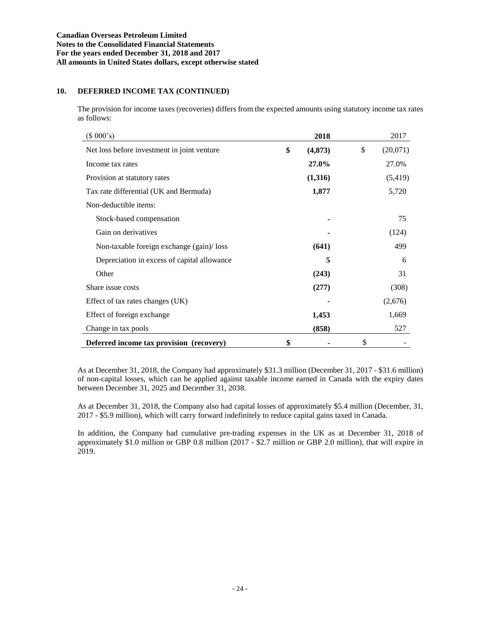### **10. DEFERRED INCOME TAX (CONTINUED)**

The provision for income taxes (recoveries) differs from the expected amounts using statutory income tax rates as follows:

| (\$000's)                                   | 2018          | 2017           |
|---------------------------------------------|---------------|----------------|
| Net loss before investment in joint venture | \$<br>(4,873) | \$<br>(20,071) |
| Income tax rates                            | 27.0%         | 27.0%          |
| Provision at statutory rates                | (1,316)       | (5, 419)       |
| Tax rate differential (UK and Bermuda)      | 1,877         | 5,720          |
| Non-deductible items:                       |               |                |
| Stock-based compensation                    |               | 75             |
| Gain on derivatives                         |               | (124)          |
| Non-taxable foreign exchange (gain)/loss    | (641)         | 499            |
| Depreciation in excess of capital allowance | 5             | 6              |
| Other                                       | (243)         | 31             |
| Share issue costs                           | (277)         | (308)          |
| Effect of tax rates changes (UK)            |               | (2,676)        |
| Effect of foreign exchange                  | 1,453         | 1,669          |
| Change in tax pools                         | (858)         | 527            |
| Deferred income tax provision (recovery)    | \$            | \$             |

As at December 31, 2018, the Company had approximately \$31.3 million (December 31, 2017 - \$31.6 million) of non-capital losses, which can be applied against taxable income earned in Canada with the expiry dates between December 31, 2025 and December 31, 2038.

As at December 31, 2018, the Company also had capital losses of approximately \$5.4 million (December, 31, 2017 - \$5.9 million), which will carry forward indefinitely to reduce capital gains taxed in Canada.

In addition, the Company had cumulative pre-trading expenses in the UK as at December 31, 2018 of approximately \$1.0 million or GBP 0.8 million (2017 - \$2.7 million or GBP 2.0 million), that will expire in 2019.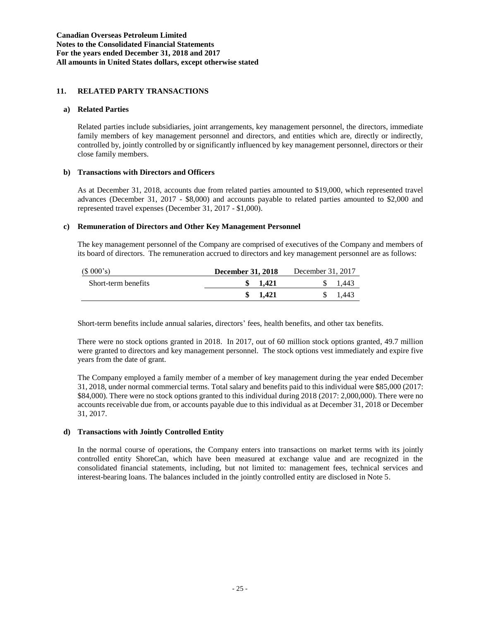### **11. RELATED PARTY TRANSACTIONS**

#### **a) Related Parties**

Related parties include subsidiaries, joint arrangements, key management personnel, the directors, immediate family members of key management personnel and directors, and entities which are, directly or indirectly, controlled by, jointly controlled by or significantly influenced by key management personnel, directors or their close family members.

#### **b) Transactions with Directors and Officers**

As at December 31, 2018, accounts due from related parties amounted to \$19,000, which represented travel advances (December 31, 2017 - \$8,000) and accounts payable to related parties amounted to \$2,000 and represented travel expenses (December 31, 2017 - \$1,000).

### **c) Remuneration of Directors and Other Key Management Personnel**

The key management personnel of the Company are comprised of executives of the Company and members of its board of directors. The remuneration accrued to directors and key management personnel are as follows:

| (\$000's)           | <b>December 31, 2018</b> | December 31, 2017 |
|---------------------|--------------------------|-------------------|
| Short-term benefits | 1.421                    | 1,443             |
|                     | 1.421                    | 1.443             |

Short-term benefits include annual salaries, directors' fees, health benefits, and other tax benefits.

There were no stock options granted in 2018. In 2017, out of 60 million stock options granted, 49.7 million were granted to directors and key management personnel. The stock options vest immediately and expire five years from the date of grant.

The Company employed a family member of a member of key management during the year ended December 31, 2018, under normal commercial terms. Total salary and benefits paid to this individual were \$85,000 (2017: \$84,000). There were no stock options granted to this individual during 2018 (2017: 2,000,000). There were no accounts receivable due from, or accounts payable due to this individual as at December 31, 2018 or December 31, 2017.

#### **d) Transactions with Jointly Controlled Entity**

In the normal course of operations, the Company enters into transactions on market terms with its jointly controlled entity ShoreCan, which have been measured at exchange value and are recognized in the consolidated financial statements, including, but not limited to: management fees, technical services and interest-bearing loans. The balances included in the jointly controlled entity are disclosed in Note 5.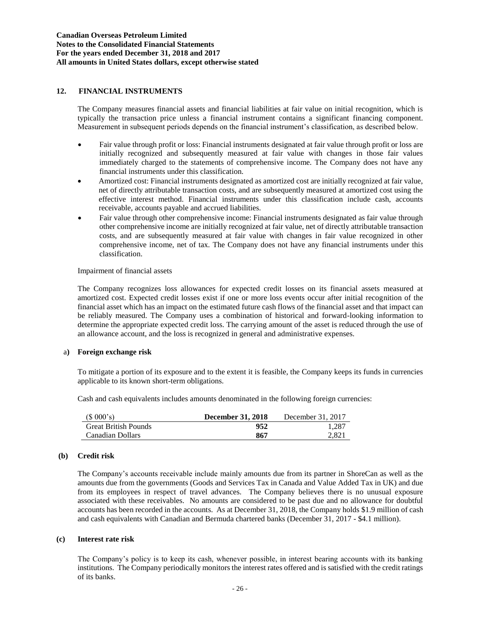### **12. FINANCIAL INSTRUMENTS**

The Company measures financial assets and financial liabilities at fair value on initial recognition, which is typically the transaction price unless a financial instrument contains a significant financing component. Measurement in subsequent periods depends on the financial instrument's classification, as described below.

- Fair value through profit or loss: Financial instruments designated at fair value through profit or loss are initially recognized and subsequently measured at fair value with changes in those fair values immediately charged to the statements of comprehensive income. The Company does not have any financial instruments under this classification.
- Amortized cost: Financial instruments designated as amortized cost are initially recognized at fair value, net of directly attributable transaction costs, and are subsequently measured at amortized cost using the effective interest method. Financial instruments under this classification include cash, accounts receivable, accounts payable and accrued liabilities.
- Fair value through other comprehensive income: Financial instruments designated as fair value through other comprehensive income are initially recognized at fair value, net of directly attributable transaction costs, and are subsequently measured at fair value with changes in fair value recognized in other comprehensive income, net of tax. The Company does not have any financial instruments under this classification.

#### Impairment of financial assets

The Company recognizes loss allowances for expected credit losses on its financial assets measured at amortized cost. Expected credit losses exist if one or more loss events occur after initial recognition of the financial asset which has an impact on the estimated future cash flows of the financial asset and that impact can be reliably measured. The Company uses a combination of historical and forward-looking information to determine the appropriate expected credit loss. The carrying amount of the asset is reduced through the use of an allowance account, and the loss is recognized in general and administrative expenses.

#### a**) Foreign exchange risk**

To mitigate a portion of its exposure and to the extent it is feasible, the Company keeps its funds in currencies applicable to its known short-term obligations.

Cash and cash equivalents includes amounts denominated in the following foreign currencies:

| (\$000's)                   | <b>December 31, 2018</b> | December 31, 2017 |
|-----------------------------|--------------------------|-------------------|
| <b>Great British Pounds</b> | 952                      | 1.287             |
| Canadian Dollars            | 867                      | 2.821             |

#### **(b) Credit risk**

The Company's accounts receivable include mainly amounts due from its partner in ShoreCan as well as the amounts due from the governments (Goods and Services Tax in Canada and Value Added Tax in UK) and due from its employees in respect of travel advances. The Company believes there is no unusual exposure associated with these receivables. No amounts are considered to be past due and no allowance for doubtful accounts has been recorded in the accounts. As at December 31, 2018, the Company holds \$1.9 million of cash and cash equivalents with Canadian and Bermuda chartered banks (December 31, 2017 - \$4.1 million).

#### **(c) Interest rate risk**

The Company's policy is to keep its cash, whenever possible, in interest bearing accounts with its banking institutions. The Company periodically monitors the interest rates offered and is satisfied with the credit ratings of its banks.